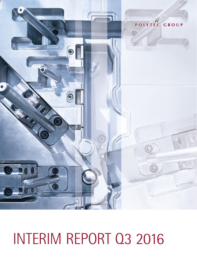

# INTERIM REPORT Q3 2016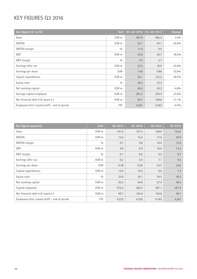# KEY FIGURES Q3 2016

| Key figures Q1 to Q3                           | Unit       | Q1-Q3 2016 | Q1-Q3 2015 | Change    |
|------------------------------------------------|------------|------------|------------|-----------|
| <b>Sales</b>                                   | EUR m      | 481.9      | 465.5      | $3.5\%$   |
| EBITDA                                         | EUR m      | 53.1       | 44.1       | 20.4%     |
| <b>EBITDA</b> margin                           | 0/0        | 11.0       | 9.5        |           |
| <b>EBIT</b>                                    | EUR m      | 33.8       | 26.7       | 26.5%     |
| EBIT margin                                    | 0/0        | 7.0        | 5.7        |           |
| Earnings after tax                             | EUR m      | 22.5       | 18.0       | 25.0%     |
| Earnings per share                             | <b>EUR</b> | 1.00       | 0.80       | 25.0%     |
| Capital expenditures                           | EUR m      | 26.1       | 122.5      | $-78.7%$  |
| Equity ratio                                   | 0/0        | 36.3       | 33.2       |           |
| Net working capital                            | EUR m      | 56.5       | 59.2       | $-4.6%$   |
| Average capital employed                       | EUR m      | 281.2      | 220.4      | 27.6%     |
| Net financial debt $(+)/$ -assets $(-)$        | EUR m      | 96.7       | 108.8      | $-11.1\%$ |
| Employees (incl. leased staff) - end of period | <b>FTE</b> | 4,261      | 4,292      | $-0.7%$   |

| Key figures quarterly                          | <b>Unit</b> | Q4 2015 | Q1 2016 | 02 2016 | Q3 2016 |
|------------------------------------------------|-------------|---------|---------|---------|---------|
| <b>Sales</b>                                   | EUR m       | 161.0   | 157.4   | 168.9   | 155.6   |
| EBITDA                                         | EUR m       | 15.6    | 15.4    | 17.6    | 20.0    |
| <b>EBITDA</b> margin                           | 0/0         | 9.7     | 9.8     | 10.4    | 12.9    |
| EBIT                                           | EUR m       | 9.9     | 9.4     | 10.9    | 13.5    |
| <b>EBIT</b> margin                             | 0/0         | 6.1     | 6.0     | 6.5     | 8.7     |
| Earnings after tax                             | EUR m       | 6.2     | 5.9     | 7.1     | 9.5     |
| Earnings per share                             | <b>EUR</b>  | 0.28    | 0.26    | 0.31    | 0.42    |
| Capital expenditures                           | EUR m       | 12.9    | 10.2    | 8.6     | 7.3     |
| Equity ratio                                   | 0/0         | 33.6    | 34.1    | 34.5    | 36.3    |
| Net working capital                            | EUR m       | 50.5    | 54.8    | 57.4    | 56.5    |
| Capital empolyed                               | EUR m       | 274.4   | 283.5   | 287.1   | 287.9   |
| Net financial debt $(+)/$ -assets $(-)$        | EUR m       | 99.1    | 102.8   | 105.8   | 96.7    |
| Employees (incl. leased staff) - end of period | <b>FTE</b>  | 4,223   | 4,255   | 4,343   | 4,261   |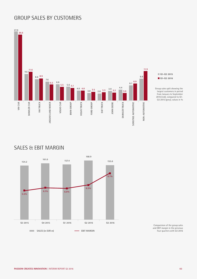# GROUP SALES BY CUSTOMERS



## SALES & EBIT MARGIN



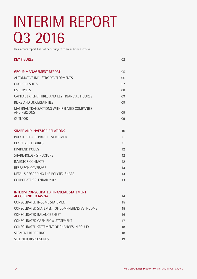# INTERIM REPORT Q3 2016

This interim report has not been subject to an audit or a review.

| <b>KEY FIGURES</b>                                                              | 02                |
|---------------------------------------------------------------------------------|-------------------|
| <b>GROUP MANAGEMENT REPORT</b>                                                  | 05                |
| AUTOMOTIVE INDUSTRY DEVELOPMENTS                                                | 06                |
| <b>GROUP RESULTS</b>                                                            | 07                |
| <b>FMPI OYFFS</b>                                                               | 08                |
| CAPITAL EXPENDITURES AND KEY FINANCIAL FIGURES                                  | 09                |
| RISKS AND UNCERTAINTIES                                                         | 09                |
| MATERIAL TRANSACTIONS WITH RELATED COMPANIES<br>AND PERSONS                     | 09                |
| <b>OUTLOOK</b>                                                                  | 09                |
| <b>SHARE AND INVESTOR RELATIONS</b>                                             | 10                |
| POIYTEC SHARE PRICE DEVELOPMENT                                                 | 11                |
| <b>KEY SHARE FIGURES</b>                                                        | 11                |
| DIVIDEND POLICY                                                                 | 12                |
| <b>SHAREHOLDER STRUCTURE</b>                                                    | 12                |
| <b>INVESTOR CONTACTS</b>                                                        | $12 \overline{ }$ |
| RESEARCH COVERAGE                                                               | 13                |
| DETAILS REGARDING THE POLYTEC SHARE                                             | 13                |
| CORPORATE CALENDAR 2017                                                         | 13                |
| <b>INTERIM CONSOLIDATED FINANCIAL STATEMENT</b>                                 |                   |
| <b>ACCORDING TO IAS 34</b>                                                      | 14                |
| CONSOLIDATED INCOME STATEMENT<br>CONSOLIDATED STATEMENT OF COMPREHENSIVE INCOME | 15                |
|                                                                                 | 15                |
| <b>CONSOLIDATED BALANCE SHEET</b>                                               | 16                |
| CONSOLIDATED CASH FLOW STATEMENT                                                | 17                |
| CONSOLIDATED STATEMENT OF CHANGES IN EQUITY                                     | 18                |
| <b>SEGMENT REPORTING</b>                                                        | 18                |
| SELECTED DISCLOSURES                                                            | 19                |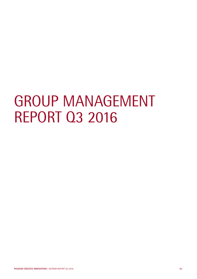# GROUP MANAGEMENT REPORT Q3 2016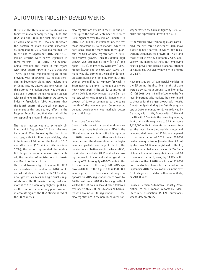# AUTOMOTIVE INDUSTRY DEVELOPMENTS

Growth in the three main international automotive markets comprised by China, the USA and the EU in the first nine months of 2016 amounted to 9.1% and therefore the pattern of more dynamic expansion as compared to 2015 was maintained. Up to the end of September 2016, some 40.5 million vehicles were newly registered in these markets (Q1-Q3 2015: 37.1 million). China remained the leader in this regard with three-quarter growth in 2016 that was 17.7% up on the comparable figure of the previous year at around 16.2 million vehicles. In September alone, new registrations in China rose by 31.6% and one reason for this automotive market boom was the probable end in 2016 of the tax reduction on cars with small engines. The German Automotive Industry Association (VDA) estimates that the fourth quarter of 2016 will continue to demonstrate this anticipatory effect in the People's Republic, but that demand will be correspondingly lower in the coming year.

The Indian market was also extremely vibrant and in September 2016 car sales rose by around 20%. Following the first three quarters, with 2.2 million new vehicles, sales in India were 8.9% up on the level of 2015 and after Japan (3.2 million units, or minus 3.7%), the nation represented the world's fifth largest automotive market. As expected, the number of registrations in Russia and Brazil continued to fall.

The trend towards light trucks in the USA was maintained in September 2016, while car sales declined. Overall, with 13.0 million new light vehicle (cars and light trucks) registrations in the US market during first nine months of 2016 were only slightly up (0.4%) on the level of the preceding year. However, in absolute figures the USA stayed ahead of the EU countries.

New registrations of cars in the EU in the period up to the end of September 2016 were 8.0% higher at over 11.2 million units (Q1-Q3 2015: 10.4 million). In combination, the five most important EU sales markets, which to date accounted for more than three-quarters (75.5%) of new registrations in 2016, all achieved growth. Thus far, double-digit growth was attained by Italy (17.4%) and Spain (11.5%), followed by Germany (6.1%), France (5.7%) and the UK with 2.6%. Demand was also strong in the smaller European states during the first nine months of the year as exemplified by Hungary (25.6%). In September 2016 alone, 1.5 million cars were newly registered in the 28 EU countries, of which 20% (298,000) related to the German market, which was especially dynamic with growth of 9.4% as compared to the same month of the previous year. Consequently, demand development was markedly better than anticipated.

#### Alternative fuel vehicles

Sales of vehicles with alternative drive systems (alternative fuel vehicles – AFV) in the EU gathered momentum in the third quarter of 2016. However, the differences between countries and the diverse drive technologies were also partially very large. In the EU, the registrations of battery electric vehicles (BEV), hybrid electric vehicles (HEV) and vehicles using propanol, ethanol and natural gas drives rose by 4.7% to roughly 440,000 units in the first nine months of the year (Q1-Q3 2015: approx. 420,000). Of this figure, a third (141,000) were registered in Italy alone, although as opposed to 2015, registrations were down by 14.6%. With some 70,000 vehicles (growth of 24.3%) the UK was in second place followed by France with 58,000 cars (2.2%) and Germany with around 46,000 registrations (15.0%). New registrations in the non-EU country Norway surpassed the German figure by 1,000 vehicles and represented growth of 40.5%.

If the various drive technologies are considered, the first three quarters of 2016 show a development pattern in which BEV registrations demonstrated growth of 17.9% and those of HEVs rose by a notable 27.1%. Conversely, the market for AFVs not employing electric power, but instead propanol, ethanol or natural gas was clearly down with a minus of 22.8%.

New registrations of commercial vehicles in the EU during the first nine months of 2016 were up by 13.1% at around 1.7 million units (Q1-Q3 2015: over 1.5 million). Among the five most important sales markets, Italy continued to show by far the largest growth with 40.2%. Growth in Spain during the first three quarters of 2016 amounted to 13.1%, followed by Germany with 11.3%, France with 10.1% and the UK with 2.0%. As in the preceding months, light trucks with weights up to 3.5 t and some 1,423,000 units in absolute terms constituted the most important vehicle group and demonstrated growth of 13.5% as compared to the same period of 2015. Some 266,000 medium-weights trucks (heavier than 3.5 but lighter than 16 t) were registered in the EU, which represented an increase of 12.8%. Sales of heavy trucks with weights in excess of 16 t increased the most, rising by 14.1% in the first six months of 2016 to a total of 215,000 units in absolute terms. In the period up to September 2016, the sales of buses in the over 3.5 t category were stable with a rise of 0.5%, or 29,000 units.

Sources: German Automotive Industry Association (VDA), European Automobile Manufacturers Association (ACEA), automobilwoche-datencenter.de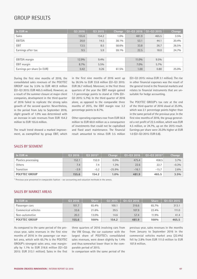## GROUP RESULTS

| In EUR m                    | Q3 2016 | 03 2015 | <b>Change</b> | Q1-Q3 2016 | $01 - 032015$ | <b>Change</b> |
|-----------------------------|---------|---------|---------------|------------|---------------|---------------|
| Sales                       | 155.6   | 154.2   | $1.0\%$       | 481.9      | 465.5         | $3.5\%$       |
| EBITDA                      | 20.0    | 14.5    | 38.1%         | 53.1       | 44.1          | 20.4%         |
| <b>EBIT</b>                 | 13.5    | 8.5     | 58.6%         | 33.8       | 26.7          | 26.5%         |
| Earnings after tax          | 9.5     | 5.9     | 59.1%         | 22.5       | 18.0          | 24.7%         |
|                             |         |         |               |            |               |               |
| <b>EBITDA</b> margin        | 12.9%   | $9.4\%$ |               | $11.0\%$   | $9.5\%$       |               |
| <b>EBIT</b> margin          | 8.7%    | $5.5\%$ |               | $7.0\%$    | $5.7\%$       |               |
| Earnings per share (in EUR) | 0.42    | 0.26    | 61.5%         | 1.00       | 0.80          | 25.0%         |

During the first nine months of 2016, the consolidated sales revenues of the POLYTEC GROUP rose by 3.5% to EUR 481.9 million (Q1-Q3 2015: EUR 465.5 million). However, as a result of the summer closure at major client companies, development in the third quarter of 2016 failed to replicate the strong sales growth of the second quarter. Nevertheless, in the period from July to September 2016, slight growth of 1.0% was determined with an increase in sale revenues from EUR 154.2 million to EUR 155.6 million.

The result trend showed a marked improvement, as exemplified by group EBIT, which

in the first nine months of 2016 went up by 26.5% to EUR 33.8 million (Q1-Q3 2015: EUR 26.7 million). Moreover, in the first three quarters of the year the EBIT margin gained 1.3 percentage points to stand at 7.0% (Q1- Q3 2015: 5.7%). In the third quarter of 2016 alone, as opposed to the comparable three months of 2015, the EBIT margin rose 3.2 percentage points to 8.7%.

Other operating expenses rose from EUR 56.8 million to EUR 60.0 million as a consequence of investments that could not be capitalised and fixed asset maintenance. The financial result amounted to minus EUR 3.5 million (Q1-Q3 2015: minus EUR 3.1 million). The rise in other financial expenses was the result of the general trend in the financial markets and relates to financial instruments that are unsuitable for hedge accounting.

The POLYTEC GROUP's tax rate at the end of the third quarter of 2016 stood at 25.9%, which was 2.1 percentage points higher than in the same period of the previous year. In the first nine months of 2016, the group generated a net profit of 22.5 million, which was EUR 4.5 million, or 24.7%, up on the 2015 result. Earnings per share were 25.0% higher at EUR 1.0 (Q1-Q3 2015: EUR 0.8).

| In EUR m             | Q3 2016 | $Q3 2015$ <sup>1</sup> | Change   | 01-03 2016 | $01 - 032015$ <sup>1</sup> | <b>Change</b> |
|----------------------|---------|------------------------|----------|------------|----------------------------|---------------|
| Plastics processing  | 152.1   | 152.0                  | $0.0\%$  | 475.4      | 458.5                      | $3.7\%$       |
| Others               | 7.4     | 7.4                    | 1.3%     | 22.6       | 22.7                       | $-0.3\%$      |
| Transition           | $-3.9$  | $-5.2$                 | $-25.9%$ | $-16.1$    | $-15.7$                    | $2.6\%$       |
| <b>POLYTEC GROUP</b> | 155.6   | 154.2                  | $1.0\%$  | 481.9      | 465.5                      | $3.5\%$       |

SALES BY SEGMENT

<sup>1)</sup> Previous year presented in comparable fashion - see accounting and valuation methods in the annex.

### SALES BY MARKET AREAS

| In EUR m             | 03 2016 | <b>Share</b> | 03 2015 | $01 - 032016$ | <b>Share</b> | 01-03 2015 |
|----------------------|---------|--------------|---------|---------------|--------------|------------|
| Passenger cars       | 101.7   | 65.4%        | 100.1   | 316.6         | 65.7%        | 313.1      |
| Commerical vehicles  | 33.6    | 21.6%        | 39.5    | 107.9         | 22.4%        | 111.0      |
| Non-automotive       | 20.3    | 13.0%        | 14.6    | 57.4          | 11.9%        | 41.4       |
| <b>POLYTEC GROUP</b> | 155.6   | 100%         | 154.2   | 481.9         | 100%         | 465.5      |

As compared to the same period of the previous year, sales revenues in the first nine months of 2016 in the passenger car market area, which with 65.7% is the POLYTEC GROUP's strongest sales area, rose marginally by 1.1% to EUR 316.6 million (Q1-Q3 2015: EUR 313.1 million). Sales in the first

three quarters of 2016 involving cars from the VW Group, the car customer with the largest share of POLYTEC's consolidated sales revenues, were down slightly by 1.4% and thus somewhat lower than in the comparable period of 2015.

previous year, sales revenues in the months from January to September 2016 in the commercial vehicles market area (22.4%) fell by 2.8% from EUR 111.0 million to EUR 107.9 million.

In comparison with the same period of the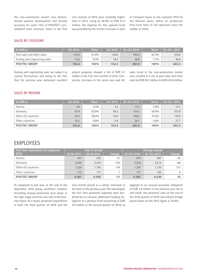The non-automotive market area demonstrated positive development and already accounts for some 12% of POLYTEC's consolidated sales revenues. Sales in the first nine months of 2016 were markedly higher than in 2015, rising by 38.6% to EUR 57.4 million. The impetus for this upward trend was provided by the further increase in sales of transport boxes to the customer IFCO by the Ebensee plant, where all production lines have been in full operation since the middle of 2016.

## SALES BY CATEGORY

| In EUR m                      | 0.32016 | <b>Share</b> | 03 2015 | $01 - 032016$ | <b>Share</b> | $01 - 03$ 2015 |
|-------------------------------|---------|--------------|---------|---------------|--------------|----------------|
| Part sales and other sales    | 142.6   | 91.6%        | 136.0   | 445.0         | 92.3%        | 418.9          |
| Tooling and engineering sales | 13.0    | 8.4%         | 18.2    | 36.9          | $7.7\%$      | 46.6           |
| <b>POLYTEC GROUP</b>          | 155.6   | 100%         | 154.2   | 481.9         | 100%         | 465.5          |

Tooling and engineering sales are subject to cyclical fluctuations and owing to the fact that the previous year witnessed excellent

project progress, showed a fall of EUR 9.7 million in the first nine months of 2016. Conversely, increases in the series area and the sales trend in the non-automotive market area resulted in a rise in part sales and other sales by EUR 26.1 million to EUR 445.0 million.

#### SALES BY REGION

| In EUR m             | 03 2016 | <b>Share</b> | <b>Q3 2015</b> | 01-03 2016 | <b>Share</b> | 01-03 2015 |
|----------------------|---------|--------------|----------------|------------|--------------|------------|
| Austria              | 3.8     | 2.4%         | 4.3            | 13.3       | 2.8%         | 14.1       |
| Germany              | 97.8    | 62.8%        | 86.5           | 274.3      | 56.9%        | 252.8      |
| Other EU countries   | 43.5    | 28.0%        | 54.0           | 166.2      | 34.5%        | 170.9      |
| Other countries      | 10.5    | 6.8%         | 9.4            | 28.1       | 5.8%         | 27.7       |
| <b>POLYTEC GROUP</b> | 155.6   | 100%         | 154.2          | 481.9      | 100%         | 465.5      |

## **EMPLOYEES**

| Full-time equivalents of employees | End of period |            |        | Average period |            |        |
|------------------------------------|---------------|------------|--------|----------------|------------|--------|
| (FTE)                              | 30.09.2016    | 30.09.2015 | Change | Q1-Q3 2016     | 01-03 2015 | Change |
| Austria                            | 541           | 592        | $-51$  | 559            | 581        | $-22$  |
| Germany                            | 2,209         | 2.344      | $-135$ | 2,228          | 2,314      | $-86$  |
| Other EU countries                 | 1,339         | 1.185      | 154    | 1,307          | 1.170      | 137    |
| Other countries                    | 172           | 171        |        | 171            | 165        | 6      |
| <b>POLYTEC GROUP</b>               | 4,261         | 4,292      | $-31$  | 4,265          | 4,230      | 35     |

As compared to last year, at the end of the September 2016 group workforce numbers (including leasing personnel) were down in the high-wage countries, but rose in the bestcost states. As a result, personnel expenditure in both the third quarter of 2016 and the nine-month period as a whole remained at the level of the previous year. This was despite the fact that personnel expenses were burdened by an unusual, additional funding obligation to a pension fund amounting to EUR 2.9 million in the second quarter of 2016, as

opposed to an unusual severance obligation of EUR 1.6 million in the previous year. As an end result, the personnel ratio at the end of the third quarter of 2016 was 0.8 percentage points down on the 2015 figure at 30.4%.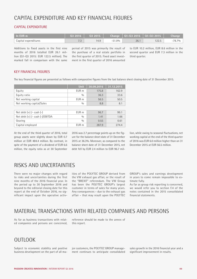# CAPITAL EXPENDITURE AND KEY FINANCIAL FIGURES

## CAPITAL EXPENDITURE

| $\ln$ EUR m          | Q <sub>3</sub> 2016 | $\sqrt{0.32015}$ |          | Change   $Q1 - Q3$ 2016   $Q1 - Q3$ 2015 |       | Change   |
|----------------------|---------------------|------------------|----------|------------------------------------------|-------|----------|
| Capital expenditures |                     | 4.9              | $-51.0%$ | 26.1                                     | 122.5 | $-78.7%$ |

Additions to fixed assets in the first nine months of 2016 totalled EUR 26.1 million (Q1-Q3 2015: EUR 122.5 million). The marked fall in comparison with the same period of 2015 was primarily the result of the purchase of a real estate portfolio in the first quarter of 2015. Fixed asset investment in the first quarter of 2016 amounted to EUR 10.2 million, EUR 8.6 million in the second quarter and EUR 7.3 million in the third quarter.

### KEY FINANCIAL FIGURES

The key financial figures are presented as follows with comparative figures from the last balance sheet closing date of 31 December 2015.

|                           | <b>Unit</b> | 30.09.2016 | 31.12.2015 |
|---------------------------|-------------|------------|------------|
| Equity                    | EUR m       | 175.8      | 162.9      |
| Equity ratio              | 0/0         | 36.3       | 33.6       |
| Net working capital       | EUR m       | 56.5       | 50.5       |
| Net working capital/Sales | 0/0         | 8.8        | 8.1        |
|                           |             |            |            |

| Net debt $(+)$ /- cash $(-)$         | EUR m | 96.7  | 99.1  |
|--------------------------------------|-------|-------|-------|
| Net debt $(+)$ /- cash $(-)$ /EBITDA | 0/0   | 1.41  | 1.66  |
| Gearing                              | 0/0   | 0.55  | 0.61  |
| Capital employed                     | FUR m | 287.9 | 274.4 |

At the end of the third quarter of 2016, total group assets were slightly down by EUR 0.7 million at EUR 484.4 million. By contrast, in spite of the payment of a dividend of EUR 6.6 million, the equity ratio as at 30 September

2016 was 2.7 percentage points up on the figure for the balance sheet date of 31 December 2015 at 36.3%. Moreover, as compared to the balance sheet date of 31 December 2015, net debt fell by EUR 2.4 million to EUR 96.7 million, while owing to seasonal fluctuations, net working capital at the end of the third quarter of 2016 was EUR 6.0 million higher than on 31 December 2015 at EUR 56.5 million.

## RISKS AND UNCERTAINTIES

There were no major changes with regard to risks and uncertainties during the first nine months of the 2016 financial year. In the period up to 30 September 2016 and beyond to the editorial closing date for this report at the end of October 2016, no significant impact upon the operative activities of the POLYTEC GROUP derived from the VW exhaust gas affair, or the result of the "BREXIT" referendum. The VW Group has been the POLYTEC GROUP's largest customer in terms of sales for many years. Any consequences – due to the exhaust gas affair – that may result upon the POLYTEC

GROUP's sales and earnings development in years to come remain impossible to estimate fully.

As far as group risk reporting is concerned, we would refer you to section F.4 of the notes contained in the 2015 consolidated financial statements.

## MATERIAL TRANSACTIONS WITH RELATED COMPANIES AND PERSONS

As far as business transactions with related companies and persons are concerned, reference should be made to the annex of this report.

## **OUTLOOK**

Subject to economic stability and positive business development on the part of all major customers, the POLYTEC GROUP management continues to anticipate consolidated sales growth in the 2016 financial year and a significant improvement in results.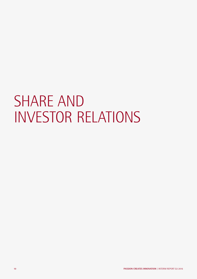# SHARE AND INVESTOR RELATIONS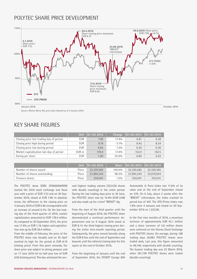# POLYTEC SHARE PRICE DEVELOPMENT



Source: Wiener Börse AG, price data indexed as of 4 January 2016

# KEY SHARE FIGURES

|                                          | <b>Unit</b> | $ 01-032016 $     | Change   | $ 01-03\;2015\; 01-03\;2014\rangle$ |       |
|------------------------------------------|-------------|-------------------|----------|-------------------------------------|-------|
| Closing price last trading day of period | <b>EUR</b>  | 7.99              | $17.4\%$ | 6.81                                | 6.38  |
| Closing price high during period         | <b>EUR</b>  | 8.19              | $-3.1\%$ | 8.45                                | 8.54  |
| Closing price low during period          | <b>EUR</b>  | 6.65              | $7.3\%$  | 6.20                                | 6.30  |
| Market capitalization last day of period | EUR m       | 178.4             | $17.4\%$ | 152.0                               | 142.5 |
| Earing per share                         | <b>EUR</b>  | 1.00 <sub>1</sub> | $25.0\%$ | 0.80                                | 0.43  |

|                              |       | Unit $\vert$ 01-03 2016 | <b>Share</b> | $\big  01 - 03 \big  2015 \big  101 - 03 \big  2014 \big $ |            |
|------------------------------|-------|-------------------------|--------------|------------------------------------------------------------|------------|
| Number of shares issued      | Piece | 22.329.585              | 100.0%       | 22,329,585                                                 | 22,329,585 |
| Number of shares outstanding | Piece | 21.995.544              | 98.5%        | 21.995.544                                                 | 22,019,044 |
| Treasury shares              | Piece | 334.041                 | $1.5\%$      | 334.041                                                    | 310.541    |

The POLYTEC share (ISIN: AT0000A00XX9) started the 2016 stock exchange and fiscal year with a price of EUR 7.53 and on 30 September 2016, closed at EUR 7.99. In absolute terms, the difference to the closing price on 4 January 2016 of EUR 0.46 corresponded with an increase of around 6.1%. On the last trading day of the third quarter of 2016, market capitalization amounted to EUR 178.4 million. As compared to 30 September 2015, the price was 17.4%, or EUR 1.18, higher and capitalization was up by EUR 26.4 million.

From the middle of February, the price of the POLYTEC share rose steadily and on 20 April reached its high for the period at EUR 8.19 (closing price). From this point onwards, the share price was subject to strong pressure and on 17 June 2016 hit its half-year low of EUR 6.65 (closing price). This day witnessed the second highest trading volume (322,536 shares with double counting) in the entire period. During the last trading days prior to 30 June, the POLYTEC share rose by 10.4% (EUR 0.69) and also made up for a brief "BREXIT" dip.

From the start of the third quarter until the beginning of August 2016, the POLYTEC share demonstrated a continual performance improvement and on 9 August 2016 stood at EUR 8.14, the third highest closing price during the entire nine-month reporting period. Subsequently, the price moved laterally along the EUR 8 line until the end of September and beyond, until the editorial closing date for this report at the end of October 2016.

From the beginning of January until the end of September 2016, the STOXX® Europe 600 Automobile & Parts Index lost 11.6% of its value and at the end of September closed on 478. On 6 July, about 2 weeks after the "BREXIT" referendum, the index reached its period low of 407. The ATX-Prime-Index rose 1.6% since 4 January and closed on 30 September 2016 on 1,222.06.

In the first nine months of 2016, a monetary turnover of approximately EUR 43.1 million and a share turnover of 5.8 million shares were achieved on the Vienna Stock Exchange with POLYTEC shares. On average, during 188 trading days 30,983 POLYTEC shares were traded daily. Last year, this figure amounted to 48,748, respectively with double counting. The busiest trading day was 23 March 2016, when 361,790 POLYTEC shares were traded (double counting).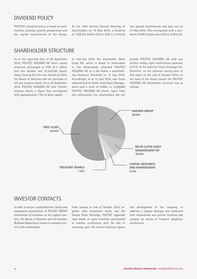## DIVIDEND POLICY

POLYTEC's dividend policy is based on profitability, strategic growth perspectives and the capital requirements of the Group. At the 16th Annual General Meeting of shareholders on 19 May 2016, a dividend of EUR 6.6 million (2015: EUR 5.5 million) was agreed unanimously and paid out on 27 May 2016. This corresponds with a dividend of EUR 0.30 per share (2015: EUR 0.25).

## SHARFHOLDER STRUCTURE

As at the reporting date of 30 September 2016, POLYTEC HOLDING AG share capital remained unchanged at EUR 22.3 million and was divided into 22,329,585 bearer shares. During the first nine months of 2016, the Board of Directors did not purchase or sell any treasury shares. As at 30 September 2016, POLYTEC HOLDING AG held 334,041 treasury shares, a figure that corresponds with approximately 1.5% of share capital.

In mid-July 2016, the shareholder Delta Lloyd NV, which is based in Amsterdam in the Netherlands informed POLYTEC HOLDING AG of a fall below a shareholding disclosure threshold on 15 July 2016. Accordingly, as at 15 July 2016, two funds administered by Delta Lloyd Asset Management held a total of 9.98%, or 2,228,808 POLYTEC HOLDING AG shares. Apart from this information the shareholders did not provide POLYTEC HOLDING AG with any further voting right notifications pursuant to § 91 of the Austrian Stock Exchange Act. Therefore, on the editorial closing date of this report at the end of October 2016, on the basis of the shares issued, the POLYTEC HOLDING AG shareholder structure was as follows:



## INVESTOR CONTACTS

In order to secure a comprehensive, timely and transparent presentation of POLYTEC GROUP information of relevance to the capital markets, the Board of Directors and the Investor Relations Department remain in constant contact with stockholders.

From January to end of October 2016, together with investment banks and the Vienna Stock Exchange, POLYTEC organised road shows, or upon invitation participated in investor conferences with the aim of reporting upon the current business figures and development of the company. In addition, a regular dialogue was continued with institutional and private investors and analysts by means of frequent telephone conferences.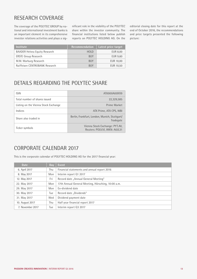# RESEARCH COVERAGE

The coverage of the POLYTEC GROUP by national and international investment banks is an important element in its comprehensive investor relations activities and plays a sig-

nificant role in the visibility of the POLYTEC share within the investor community. The financial institutions listed below publish reports on POLYTEC HOLDING AG. On the editorial closing date for this report at the end of October 2016, the recommendations and price targets presented the following picture:

| <b>Institute</b>                     | Recommendation | Latest price target |
|--------------------------------------|----------------|---------------------|
| <b>BAADER Helvea Equity Research</b> | <b>HOLD</b>    | EUR 8.00            |
| <b>ERSTE Group Research</b>          | <b>BUY</b>     | EUR 9.60            |
| M.M. Warburg Research                | BUY            | EUR 10,00           |
| Raiffeisen CENTROBANK Research       | BUY            | EUR 10,50           |

# DETAILS REGARDING THE POLYTEC SHARE

| <b>ISIN</b>                          | AT0000A00XX9                                                    |
|--------------------------------------|-----------------------------------------------------------------|
| Total number of shares issued        | 22.329.585                                                      |
| Listing on the Vienna Stock Exchange | Prime Market                                                    |
| Indices                              | ATX Prime, ATX CPS, WBI                                         |
| Share also traded in                 | Berlin, Frankfurt, London, Munich, Stuttgart/<br>Tradegate      |
| Ticker symbols                       | Vienna Stock Exchange: PYT.AV,<br>Reuters: POLV.VI, WKN: A0JL31 |

## CORPORATE CALENDAR 2017

This is the corporate calendar of POLYTEC HOLDING AG for the 2017 financial year:

| <b>Date</b>      | Day        | Event                                              |
|------------------|------------|----------------------------------------------------|
| 6. April 2017    | Thu        | Financial statements and annual report 2016        |
| 8. May 2017      | Mon        | Interim report Q1 2017                             |
| 12. May 2017     | Fri        | Record date "Annual General Meeting"               |
| 22. May 2017     | Mon        | 17th Annual General Meeting, Hörsching, 10:00 a.m. |
| 29. May 2017     | Mon        | Ex-dividend date                                   |
| 30. May 2017     | <b>Tue</b> | Record date "Dividends"                            |
| 31. May 2017     | Wed        | Dividend payment date                              |
| 10. August 2017  | Thu        | Half year financial report 2017                    |
| 7. November 2017 | Tue        | Interim report Q3 2017                             |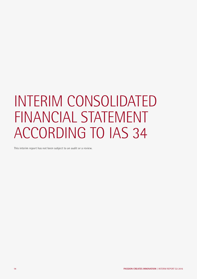# INTERIM CONSOLIDATED FINANCIAL STATEMENT ACCORDING TO IAS 34

This interim report has not been subject to an audit or a review.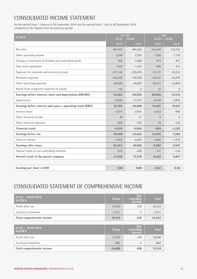# CONSOLIDATED INCOME STATEMENT

for the period from 1 January to 30 September 2016 and the period from 1 July to 30 September 2016 compared to the figures from the previous period

| In EUR k                                                     | $Q1 - Q3$<br>$01.01. - 30.09.$ |              | 03<br>$01.07. - 30.09.$ |                |
|--------------------------------------------------------------|--------------------------------|--------------|-------------------------|----------------|
|                                                              | 2016                           | 2015         | 2016                    | 2015           |
| Net sales                                                    | 481,925                        | 465,502      | 155,646                 | 154,162        |
| Other operating income                                       | 3,240                          | 3,392        | 1,206                   | 1,136          |
| Changes in inventory of finished and unfinished goods        | 392                            | 3,489        | 413                     | 937            |
| Own work capitalised                                         | 1,543                          | 1,322        | 646                     | 415            |
| Expenses for materials and services received                 | $-227,744$                     | $-226,479$   | $-73,131$               | $-76,351$      |
| Personnel expenses                                           | $-146,389$                     | $-146,366$   | $-44,555$               | $-45,916$      |
| Other operating expenses                                     | $-60,045$                      | $-56,807$    | $-20,217$               | $-19,870$      |
| Result from companies reported at-equity                     | 142                            | $\mathbf{0}$ | 37                      | $\overline{0}$ |
| Earnings before interest, taxes and depreciation (EBITDA)    | 53,064                         | 44,055       | 20,046                  | 14,512         |
| Depreciation                                                 | $-19,282$                      | $-17,357$    | $-6,556$                | $-6,005$       |
| Earnings before interest and taxes = operating result (EBIT) | 33,782                         | 26,698       | 13,491                  | 8,507          |
| Interest result                                              | $-3,014$                       | $-2,901$     | $-1,052$                | $-990$         |
| Other financial income                                       | 40                             | 77           | 9                       | $\Omega$       |
| Other financial expenses                                     | $-500$                         | $-232$       | 78                      | $-232$         |
| <b>Financial result</b>                                      | $-3,474$                       | $-3,056$     | $-965$                  | $-1,222$       |
| Earnings before tax                                          | 30,308                         | 23,642       | 12,525                  | 7,285          |
| Taxes on income                                              | $-7,855$                       | $-5,636$     | $-3,063$                | $-1,339$       |
| Earnings after taxes                                         | 22,453                         | 18,006       | 9,462                   | 5,947          |
| thereof result of non-controlling interests                  | $-518$                         | $-428$       | $-141$                  | $-130$         |
| thereof result of the parent company                         | 21,935                         | 17,578       | 9,322                   | 5,817          |
|                                                              |                                |              |                         |                |
| Earnings per share in EUR                                    | 1.00                           | 0.80         | 0.42                    | 0.26           |

# CONSOLIDATED STATEMENT OF COMPREHENSIVE INCOME

| $01.01 - 30.09.2016$<br>In EUR k | Group    | <b>Non</b><br>controlling<br><b>interests</b> | <b>Total</b> |
|----------------------------------|----------|-----------------------------------------------|--------------|
| Profit after tax                 | 21,935   | 518                                           | 22,453       |
| Currency translation             | $-2,521$ | $\Omega$                                      | $-2,521$     |
| Total comprehensive income       | 19,414   | 518                                           | 19,932       |
|                                  |          |                                               |              |
| $01.01 - 30.09.2015$<br>In EUR k | Group    | <b>Non</b><br>controlling<br><b>interests</b> | <b>Total</b> |
| Profit after tax                 | 17,578   | 428                                           | 18,006       |
| Currency translation             | $-892$   | $\Omega$                                      | $-892$       |
| Total comprehensive income       | 16,686   | 428                                           | 17,114       |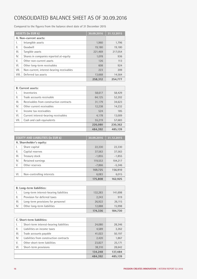# CONSOLIDATED BALANCE SHEET AS OF 30.09.2016

Compared to the figures from the balance sheet date of 31 December 2015

|                        | <b>ASSETS (In EUR k)</b>                  | 30.09.2016 | 31.12.2015 |
|------------------------|-------------------------------------------|------------|------------|
| A. Non-current assets: |                                           |            |            |
| I.                     | Intangible assets                         | 1.960      | 1,796      |
| ΙΙ.                    | Goodwill                                  | 19,180     | 19,180     |
| III.                   | Tangible assets                           | 221,469    | 217.054    |
| IV.                    | Shares in companies reported at-equity    | 1,078      | 936        |
| V.                     | Other non-current assets                  | 126        | 113        |
| VI.                    | Other long-term receivables               | 608        | 924        |
| VII.                   | Non-current, interest-bearing receivables | 223        | 209        |
| VIII.                  | Deferred tax assets                       | 13,668     | 14,564     |
|                        |                                           | 258.312    | 254.777    |

|      | <b>B.</b> Current assets:               |         |         |
|------|-----------------------------------------|---------|---------|
| I.   | Inventories                             | 58,617  | 58,429  |
| Ш.   | Trade accounts receivable               | 64,125  | 52,202  |
| III. | Receivables from construction contracts | 31,179  | 34,623  |
| IV.  | Other current receivables               | 12,238  | 14,232  |
| V.   | Income tax receivables                  | 524     | 185     |
| VI.  | Current interest-bearing receivables    | 4,178   | 13,009  |
| VII. | Cash and cash equivalents               | 55,219  | 57,683  |
|      |                                         | 226,080 | 230,362 |
|      |                                         | 484.392 | 485.139 |

| <b>EQUITY AND LIABILITIES (In EUR k)</b> |                           | 30.09.2016 | 31.12.2015 |
|------------------------------------------|---------------------------|------------|------------|
| A. Shareholder's equity:                 |                           |            |            |
| I.                                       | Share capital             | 22,330     | 22,330     |
| Ш.                                       | Capital reserves          | 37,563     | 37,563     |
| III.                                     | Treasury stock            | $-1,855$   | $-1,855$   |
| IV.                                      | Retained earnings         | 119,553    | 104,217    |
| V.                                       | Other reserves            | $-7,866$   | $-5,346$   |
|                                          |                           | 169,725    | 156,910    |
| VI.                                      | Non-controlling interests | 6,083      | 6,015      |
|                                          |                           | 175,808    | 162,925    |

| <b>B.</b> Long-term liabilities: |                                        |         |         |
|----------------------------------|----------------------------------------|---------|---------|
|                                  | Long-term interest-bearing liabilities | 132,283 | 141,698 |
| 11.                              | Provision for deferred taxes           | 2.243   | 919     |
| III.                             | Long-term provisions for personnel     | 26.922  | 26,115  |
| IV.                              | Other long-term liabilities            | 12,888  | 15,998  |
|                                  |                                        | 174,336 | 184,730 |

|      | C. Short-term liabilities:              |         |         |
|------|-----------------------------------------|---------|---------|
| I.   | Short-term interest-bearing liabilities | 24,080  | 28,346  |
| ΙΙ.  | Liabilities on income taxes             | 4,589   | 3,262   |
| III. | Trade accounts payable                  | 41,022  | 50,197  |
| IV.  | Liabilities from construction contracts | 2,420   | 1,867   |
| V.   | Other short-term liabilities            | 23,827  | 25,171  |
| VI.  | Short-term provisions                   | 38,310  | 28,642  |
|      |                                         | 134,248 | 137,484 |
|      |                                         | 484.392 | 485.139 |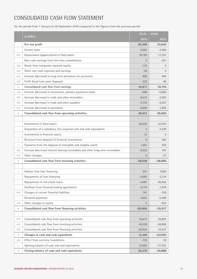# CONSOLIDATED CASH FLOW STATEMENT

for the period from 1 January to 30 September 2016 compared to the figures from the previous period

|                                  | In EUR k                                                                         | $01.01. - 30.09.$ |                |
|----------------------------------|----------------------------------------------------------------------------------|-------------------|----------------|
|                                  |                                                                                  | 2016              | 2015           |
|                                  | Pre-tax profit                                                                   | 30,308            | 23,642         |
| $\overline{\phantom{a}}$         | Income taxes                                                                     | $-2,962$          | $-2,585$       |
| $+(-)$                           | Depreciation (appreciation) of fixed assets                                      | 19,185            | 17,357         |
| $\bar{a}$                        | Non-cash earnings from first time consolidation                                  | $\Omega$          | $-351$         |
| $-(+)$                           | Result from companies reported equity                                            | $-142$            | $\Omega$       |
| $+(-)$                           | Other non-cash expenses and earnings                                             | $-58$             | $\overline{0}$ |
| $+(-)$                           | Increase (decrease) in long-term provisions for personnel                        | 806               | 645            |
| $- (+)$                          | Profit (loss) from asset disposals                                               | $-320$            | 86             |
| $=$                              | Consolidated cash flow from earnings                                             | 46,817            | 38,794         |
| $- (+)$                          | Increase (decrease) in inventories, advance payments made                        | $-668$            | $-6,680$       |
| $- (+)$                          | Increase (decrease) in trade and other receivables                               | $-8,415$          | $-2,693$       |
| $+(-)$                           | Increase (decrease) in trade and other payables                                  | $-7,720$          | $-6,567$       |
| $+(-)$                           | Increase (decrease) in provisions                                                | 6,600             | 3,966          |
| $=$                              | Consolidated cash flow from operating activities                                 | 36,613            | 26,820         |
|                                  |                                                                                  |                   |                |
| $\overline{\phantom{a}}$         | Investments in fixed assets                                                      | $-28,420$         | $-57,075$      |
| $\overline{\phantom{a}}$         | Acquisition of a subsidiary, less acquired cash and cash equivalents             | $\Omega$          | $-3,438$       |
| $\overline{\phantom{a}}$         | Investments in financial assets                                                  | $-13$             | $\overline{0}$ |
| $\begin{array}{c} + \end{array}$ | Revenues from disposal of financial investments                                  | $\overline{0}$    | 583            |
| $^{+}$                           | Payments from the disposal of intangible and tangible assets                     | 1,461             | 816            |
| $-(+)$                           | Increase (decrease) interest bearing receivables and other long-term receivables | 8,935             | 241            |
| $+(-)$                           | Other changes                                                                    | $\overline{0}$    | $-23$          |
| $=$                              | Consolidated cash flow from investing activities                                 | $-18,038$         | $-58,896$      |
|                                  |                                                                                  |                   |                |
| $\begin{array}{c} + \end{array}$ | Inflows from loan financing                                                      | 301               | 7,000          |
|                                  | Repayments of loan financing                                                     | $-4,665$          | $-2,314$       |
| $\overline{\phantom{a}}$         | Repayments of real estate loans                                                  | $-4,081$          | $-30,656$      |
| $\overline{\phantom{a}}$         | Outflows from financial leasing agreements                                       | $-6,174$          | $-1,876$       |
| $+(-)$                           | Changes in current financial liabilities                                         | 761               | $-750$         |
| $\overline{\phantom{a}}$         | Dividend payments                                                                | $-7,047$          | $-5,499$       |
| $+(-)$                           | Other changes in equity                                                          | $\overline{0}$    | $-922$         |
| $=$                              | Consolidated cash flow from financing activities                                 | $-20,904$         | $-35,017$      |
|                                  |                                                                                  |                   |                |
| $+(-)$                           | Consolidated cash flow from operating activities                                 | 36,613            | 26,820         |
| $+(-)$                           | Consolidated cash flow from investing activities                                 | $-18,038$         | $-58,896$      |
| $+(-)$                           | Consolidated cash flow from financing activities                                 | $-20,904$         | $-35,017$      |
| $=$                              | Changes in cash and cash equivalents                                             | $-2,329$          | $-67,093$      |
| $+(-)$                           | Effect from currency translations                                                | $-136$            | 30             |
| $\begin{array}{c} + \end{array}$ | Opening balance of cash and cash equivalents                                     | 57,683            | 111,951        |
| $=$                              | Closing balance of cash and cash equivalents                                     | 55,219            | 44,888         |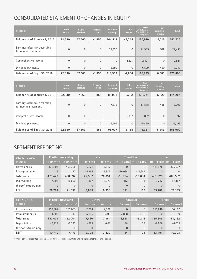# CONSOLIDATED STATEMENT OF CHANGES IN EQUITY

| In EUR k                                            | <b>Share</b><br>capital | Capital<br>reserves | <b>Treasury</b><br>stock | <b>Retained</b><br>earnings | <b>Other</b><br>income | <b>Equity</b><br>attributable to<br><b>Shareholders of</b><br>the parent | <b>Non</b><br>controlling<br><b>interests</b> | <b>Total</b> |
|-----------------------------------------------------|-------------------------|---------------------|--------------------------|-----------------------------|------------------------|--------------------------------------------------------------------------|-----------------------------------------------|--------------|
| Balance as of January 1, 2016                       | 22,330                  | 37.563              | $-1.855$                 | 104.217                     | $-5.345$               | 156.910                                                                  | 6.015                                         | 162,925      |
| Earnings after tax according<br>to income statement | $\Omega$                | $\Omega$            | $\mathbf{0}$             | 21,935                      | $\overline{0}$         | 21,935                                                                   | 518                                           | 22,453       |
| Comprehensive income                                | $\Omega$                | $\Omega$            | $\Omega$                 | $\Omega$                    | $-2,521$               | $-2,521$                                                                 | $\mathbf{0}$                                  | $-2,521$     |
| Dividend payments                                   | $\Omega$                | $\Omega$            | $\Omega$                 | $-6,599$                    | $\overline{0}$         | $-6,599$                                                                 | $-450$                                        | $-7,049$     |
| Balance as of Sept. 30, 2016                        | 22,330                  | 37.563              | $-1.855$                 | 119.553                     | $-7.866$               | 169,725                                                                  | 6,083                                         | 175,808      |

| In EUR k                                            | <b>Share</b><br>capital | Capital<br><b>reserves</b> | Treasury<br>stock | <b>Retained</b><br>earnings | <b>Other</b><br>income | <b>Equity</b><br>attributable to<br><b>Shareholders of</b><br>the parent | Non<br>controlling<br>interests | <b>Total</b> |
|-----------------------------------------------------|-------------------------|----------------------------|-------------------|-----------------------------|------------------------|--------------------------------------------------------------------------|---------------------------------|--------------|
| Balance as of January 1, 2015                       | 22,330                  | 37,563                     | $-1,855$          | 85,998                      | $-5.262$               | 138,774                                                                  | 5,520                           | 144,294      |
| Earnings after tax according<br>to income statement | $\Omega$                | $\Omega$                   | $\mathbf{0}$      | 17.578                      | $\mathbf{0}$           | 17,578                                                                   | 428                             | 18,006       |
| Comprehensive income                                | $\Omega$                | $\Omega$                   | $\Omega$          | $\Omega$                    | $-892$                 | $-892$                                                                   | $\Omega$                        | $-892$       |
| Dividend payments                                   | $\overline{0}$          | $\Omega$                   | $\mathbf{0}$      | $-5,499$                    | $\overline{0}$         | $-5,499$                                                                 | $\mathbf{0}$                    | $-5,499$     |
| Balance as of Sept. 30, 2015                        | 22,330                  | 37,563                     | $-1,855$          | 98,077                      | $-6,154$               | 149,961                                                                  | 5,949                           | 155,909      |

# SEGMENT REPORTING

| $\overline{01.01}$ - 30.09. | <b>Plastics processing</b> |                                            |                | <b>Others</b>                              |                | <b>Transition</b>                          | Group     |                                              |
|-----------------------------|----------------------------|--------------------------------------------|----------------|--------------------------------------------|----------------|--------------------------------------------|-----------|----------------------------------------------|
| In EUR k                    |                            | $Q1 - Q3$ 2016 $Q1 - Q3$ 2015 <sup>1</sup> |                | $01 - 032016$ $\overline{01 - 032015^{1}}$ |                | $Q1 - Q3$ 2016 $Q1 - Q3$ 2015 <sup>1</sup> |           | $Q1 - Q3$ 2016   $Q1 - Q3$ 2015 <sup>1</sup> |
| External sales              | 475,304                    | 458,355                                    | 6,621          | 7,147                                      | $\overline{0}$ |                                            | 481,925   | 465,502                                      |
| Intra group sales           | 118                        | 177                                        | 15,966         | 15,507                                     | $-16.084$      | $-15,684$                                  | $\Omega$  |                                              |
| <b>Total sales</b>          | 475,422                    | 458,532                                    | 22,587         | 22,654                                     | $-16.084$      | $-15,684$                                  | 481,925   | 465,502                                      |
| Depreciation                | $-17,408$                  | $-15.500$                                  | $-1,987$       | $-1,970$                                   | 113            | 113                                        | $-19,282$ | $-17,357$                                    |
| thereof extraordinary       | $\Omega$                   | $\Omega$                                   | $\overline{0}$ | $\overline{0}$                             | $\Omega$       | $\Omega$                                   | $\Omega$  |                                              |
| <b>EBIT</b>                 | 26,767                     | 21,097                                     | 6,895          | 6,930                                      | 121            | 166                                        | 33,782    | 28,193                                       |

| $\overline{01.07}$ . - 30.09. | <b>Plastics processing</b> |               |          | <b>Others</b>          |                | <b>Transition</b>      | Group          |              |
|-------------------------------|----------------------------|---------------|----------|------------------------|----------------|------------------------|----------------|--------------|
| In EUR k                      | 03 2016                    | $0.32015^{1}$ | 03 2016  | $032015$ <sup>1)</sup> | 03 2016        | $Q32015$ <sup>1)</sup> | 03 2016        | $Q32015^{1}$ |
| External sales                | 153,382                    | 152.001       | 2,264    | 2.161                  | $\overline{0}$ | $\Omega$               | 155,646        | 154,162      |
| Intra group sales             | $-1,308$                   | 43            | 5,196    | 5,203                  | $-3,888$       | $-5,246$               | $\overline{0}$ | $\Omega$     |
| <b>Total sales</b>            | 152.074                    | 152.044       | 7.460    | 7.364                  | $-3.888$       | $-5.246$               | 155.646        | 154,162      |
| Depreciation                  | $-5,929$                   | $-5,372$      | $-665$   | $-671$                 | 38             | 38                     | $-6,556$       | $-6,005$     |
| thereof extraordinary         | $\overline{0}$             | $\Omega$      | $\Omega$ | $\overline{0}$         | $\overline{0}$ | $\Omega$               | $\overline{0}$ | $\Omega$     |
| <b>EBIT</b>                   | 10,740                     | 7,479         | 2,708    | 2,420                  | 44             | 104                    | 13,491         | 10,003       |

<sup>1)</sup> Previous year presented in comparable figures - see accounting and valuation methods in the annex.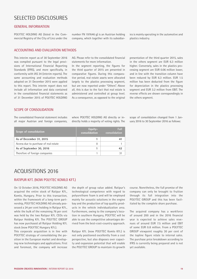## SELECTED DISCLOSURES

#### GENERAL INFORMATION

POLYTEC HOLDING AG (listed in the Commercial Registry of the City of Linz under the number FN 197646 g) is an Austrian holding company, which together with its subsidiaries is mainly operating in the automotive and plastics industry.

#### ACCOUNTING AND EVALUATION METHODS

This interim report as of 30 September 2016 was compiled pursuant to the legal provisions of International Financial Reporting Standards (IFRS), and more specifically, in conformity with IAS 34 (interim reports). The same accounting and evaluation methods adopted on 31 December 2015 were applied to this report. This interim report does not include all information and data contained in the consolidated financial statements as of 31 December 2015 of POLYTEC HOLDING AG. Please refer to the consolidated financial statements for more information.

In the segment reporting, the figures for the third quarter of 2015 are presented in comparative figures. During this comparative period, real estate assets were allocated largely to the plastics processing segment, but are now reported under "Others". Above all, this is due to the fact that real estate is administered and controlled at group level. As a consequence, as opposed to the original presentation of the third quarter 2015, sales in the others segment are EUR 6.3 million higher. Conversely, sales in the plastics processing segment are EUR 0.06 million lower, and in line with the transition column have been reduced by EUR 6.3 million. EUR 1.5 million has been deducted from the figure for depreciation in the plastics processing segment and EUR 3.2 million from EBIT. The reverse effects are shown correspondingly in the others segment.

### SCOPE OF CONSOLIDATION

The consolidated financial statement includes all major Austrian and foreign companies,

where POLYTEC HOLDING AG directly or indirectly holds a majority of voting rights. The

| Scope of consolidation                | Equity-<br>consolidation | Full<br>consolidation |
|---------------------------------------|--------------------------|-----------------------|
| As of December 31, 2015               |                          |                       |
| Access due to purchase of real estate | O                        |                       |
| As of September 30, 2016              |                          |                       |
| Therefore of foreign companies        |                          |                       |

scope of consolidation changed from 1 January 2016 to 30 September 2016 as follows:

## ACQUISITIONS 2016

## RATIPUR KFT. (NOW POLYTEC KOMLO KFT.)

On 12 October 2016, POLYTEC HOLDING AG acquired the entire stock of Ratipur Kft., Komlo, Hungary. Prior to this transaction, within the framework of a long-term partnership, POLYTEC HOLDING AG already possessed a 24 per cent holding in Ratipur Kft., while the bulk of the remaining 76 per cent was held by the two Ratipur Kft. CEOs via Ratipur Holding Kft. The POLYTEC GROUP has now purchased all Ratipur Holding Kft. stock (now POLYTEC Hungary Kft.).

This corporate acquisition is in line with POLYTEC strategy of consolidating the position in the European market and developing new technologies and applications. First and foremost, the company will increase the depth of group value added. Ratipur's technological competence with regard to polyurethane foam is and will be employed mainly for acoustic solutions in the engine bay and the production of top quality products in the vehicle individualization area. Furthermore, owing to the company's location in southern Hungary, POLYTEC will be able to use the competitive advantages derived from the best-cost-country approach.

Ratipur Kft. (now POLYTEC Komlo Kft.) is not only positioned excellently from a cost perspective, but also disposes over capacity and expansion potential that will enable the POLYTEC GROUP to maintain its growth course. Nonetheless, the full promise of the company can only be brought to fruition through its full integration into the POLYTEC GROUP and this has been facilitated by the complete share purchase.

The acquired company has a workforce of around 200 and in the 2016 financial year is expected to achieve sales revenues of around EUR 7.5 million and EBIT of some EUR 0.8 million. From a POLYTEC GROUP viewpoint roughly 30 per cent of the topline figure relate to internal sales. The purchase price breakdown according to IFRS is currently being prepared and is not yet available.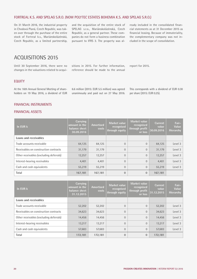## FORTREAL K.S. AND SPELAG S.R.O. (NOW POLYTEC ESTATES BOHEMIA K.S. AND SPELAG S.R.O.)

On 31 March 2016, the industrial property in Chodová Planá, Czech Republic, was taken over through the purchase of the entire stock of Fortreal k.s., Mariánskolázénská, Czech Republic, as a limited partnership, and the acquisition of the entire stock of SPELAG s.r.o., Mariánskolázénská, Czech Republic, as a general partner. These companies do not form a business combination pursuant to IFRS 3. The property was al-

ready included in the consolidated financial statements as at 31 December 2015 as financial leasing. Because of immateriality, the complementary company was not included in the scope of consolidation.

# ACQUISITIONS 2015

Until 30 September 2016, there were no changes in the valuations related to acquisitions in 2015. For further information, reference should be made to the annual

report for 2015.

#### EQUITY

At the 16th Annual General Meeting of shareholders on 19 May 2016, a dividend of EUR 6.6 million (2015: EUR 5.5 million) was agreed unanimously and paid out on 27 May 2016. This corresponds with a dividend of EUR 0.30 per share (2015: EUR 0.25).

### FINANCIAL INSTRUMENTS

### FINANCIAL ASSETS

| In EUR k                                | Carrying<br>amount in the<br>balance sheet<br>30.09.2016 | <b>Amortised</b><br>costs | Market value<br>recognised<br>through equity | Market value<br>recognised<br>through profit<br>or loss | Current<br>value<br>30.09.2016 | Fair-<br>Value<br>Hierarchy |
|-----------------------------------------|----------------------------------------------------------|---------------------------|----------------------------------------------|---------------------------------------------------------|--------------------------------|-----------------------------|
| Loans and receivables                   |                                                          |                           |                                              |                                                         |                                |                             |
| Trade accounts receivable               | 64,125                                                   | 64,125                    | $\Omega$                                     | $\Omega$                                                | 64,125                         | Level 3                     |
| Receivables on construction contracts   | 31,179                                                   | 31,179                    | $\Omega$                                     | $\overline{0}$                                          | 31,179                         | Level 3                     |
| Other receivables (excluding deferrals) | 12,257                                                   | 12,257                    | $\Omega$                                     | $\Omega$                                                | 12,257                         | Level 3                     |
| Interest-bearing receivables            | 4,401                                                    | 4,401                     | $\Omega$                                     | $\Omega$                                                | 4,401                          | Level 3                     |
| Cash and cash equivalents               | 55,219                                                   | 55,219                    | $\overline{0}$                               | $\overline{0}$                                          | 55.219                         | Level 3                     |
| Total                                   | 167,181                                                  | 167,181                   | $\Omega$                                     | $\mathbf{0}$                                            | 167,181                        |                             |

| In EUR k                                | Carrying<br>amount in the<br>balance sheet<br>31.12.2015 | Amortised<br>costs | Market value<br>recognised<br>through equity | Market value<br>recognised<br>through profit<br>or loss | <b>Current</b><br>value<br>31.12.2015 | Fair-<br>Value<br>Hierarchy |
|-----------------------------------------|----------------------------------------------------------|--------------------|----------------------------------------------|---------------------------------------------------------|---------------------------------------|-----------------------------|
| Loans and receivables                   |                                                          |                    |                                              |                                                         |                                       |                             |
| Trade accounts receivable               | 52,202                                                   | 52,202             | $\Omega$                                     | $\Omega$                                                | 52,202                                | Level 3                     |
| Receivables on construction contracts   | 34,623                                                   | 34,623             | $\Omega$                                     | $\Omega$                                                | 34,623                                | Level 3                     |
| Other receivables (excluding deferrals) | 14,456                                                   | 14,456             | $\Omega$                                     | $\Omega$                                                | 14,456                                | Level 3                     |
| Interest-bearing receivables            | 13,217                                                   | 13,217             | $\Omega$                                     | $\Omega$                                                | 13,217                                | Level 3                     |
| Cash and cash equivalents               | 57,683                                                   | 57,683             | $\overline{0}$                               | $\overline{0}$                                          | 57,683                                | Level 3                     |
| Total                                   | 172,181                                                  | 172.181            | $\mathbf{0}$                                 | $\mathbf{0}$                                            | 172.181                               |                             |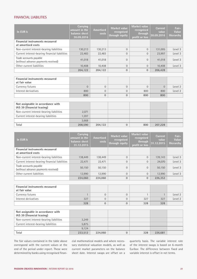## FINANCIAL LIABILITIES

| In EUR k                                                        | Carrying<br>amount in the<br>balance sheet<br>30.09.2016 | <b>Amortised</b><br>costs | Market value<br>recognised<br>through equity | Market value<br>recognised<br>through<br>profit or loss | <b>Current</b><br>value<br>30.09.2016 | Fair-<br>Value<br><b>Hierarchy</b> |
|-----------------------------------------------------------------|----------------------------------------------------------|---------------------------|----------------------------------------------|---------------------------------------------------------|---------------------------------------|------------------------------------|
| <b>Financial instruments measured</b><br>at amortised costs     |                                                          |                           |                                              |                                                         |                                       |                                    |
| Non-current interest-bearing liabilities                        | 130,213                                                  | 130,213                   | $\Omega$                                     | $\Omega$                                                | 131,005                               | Level 3                            |
| Current interest-bearing financial liabilities                  | 22,483                                                   | 22,483                    | $\Omega$                                     | $\Omega$                                                | 23,997                                | Level 3                            |
| Trade accounts payable<br>(without advance payments received)   | 41,018                                                   | 41,018                    | $\Omega$                                     | $\Omega$                                                | 41,018                                | Level 3                            |
| Other current liabilities                                       | 10,408                                                   | 10,408                    | $\Omega$                                     | $\Omega$                                                | 10,408                                | Level 3                            |
|                                                                 | 204,122                                                  | 204,122                   | $\theta$                                     | $\overline{0}$                                          | 206,428                               |                                    |
|                                                                 |                                                          |                           |                                              |                                                         |                                       |                                    |
| <b>Financial instruments measured</b><br>at fair value          |                                                          |                           |                                              |                                                         |                                       |                                    |
| Currency futures                                                | $\Omega$                                                 | $\Omega$                  | $\Omega$                                     | $\Omega$                                                | $\Omega$                              | Level 2                            |
| Interest derivatives                                            | 800                                                      | $\Omega$                  | $\Omega$                                     | 800                                                     | 800                                   | Level 2                            |
|                                                                 | 800                                                      | $\mathbf{0}$              | $\theta$                                     | 800                                                     | 800                                   |                                    |
|                                                                 |                                                          |                           |                                              |                                                         |                                       |                                    |
| Not assignable in accordance with<br>IAS 39 (financial leasing) |                                                          |                           |                                              |                                                         |                                       |                                    |

| IAS 39 (financial leasing)               |         |         |     |         |  |
|------------------------------------------|---------|---------|-----|---------|--|
| Non-current interest-bearing liabilities | 2.071   |         |     |         |  |
| Current interest-bearing liabilities     | 1.597   |         |     |         |  |
|                                          | 3,668   |         |     |         |  |
| Total                                    | 208,590 | 204.122 | 800 | 207,228 |  |

| In EUR k                                                      | Carrying<br>amount in the<br>balance sheet<br>31.12.2015 | <b>Amortised</b><br>costs | Market value<br>recognised<br>through equity | Market value<br>recognised<br>through<br>profit or loss | <b>Current</b><br>value<br>31.12.2015 | Fair-<br>Value<br><b>Hierarchy</b> |
|---------------------------------------------------------------|----------------------------------------------------------|---------------------------|----------------------------------------------|---------------------------------------------------------|---------------------------------------|------------------------------------|
| <b>Financial instruments measured</b><br>at amortised costs   |                                                          |                           |                                              |                                                         |                                       |                                    |
| Non-current interest-bearing liabilities                      | 138,449                                                  | 138,449                   | $\Omega$                                     | $\Omega$                                                | 139,143                               | Level 3                            |
| Current interest-bearing financial liabilities                | 22,471                                                   | 22,471                    | $\Omega$                                     | $\Omega$                                                | 24,070                                | Level 3                            |
| Trade accounts payable<br>(without advance payments received) | 50,150                                                   | 50,150                    | $\Omega$                                     | $\Omega$                                                | 50.150                                | Level 3                            |
| Other current liabilities                                     | 12.990                                                   | 12.990                    | $\mathbf{0}$                                 | $\Omega$                                                | 12.990                                | Level 3                            |
|                                                               | 224.060                                                  | 224.060                   | $\Omega$                                     | $\Omega$                                                | 226,353                               |                                    |

| <b>Financial instruments measured</b><br>at fair value |     |  |     |     |         |
|--------------------------------------------------------|-----|--|-----|-----|---------|
| Currency futures                                       |     |  |     |     | Level 2 |
| Interest derivatives                                   | 327 |  | 327 | 327 | Level 2 |
|                                                        | 328 |  | 328 | 328 |         |

| Not assignable in accordance with<br>IAS 39 (financial leasing) |         |         |     |         |  |
|-----------------------------------------------------------------|---------|---------|-----|---------|--|
| Non-current interest-bearing liabilities                        | 3,249   |         |     |         |  |
| Current interest-bearing liabilities                            | 5,875   |         |     |         |  |
|                                                                 | 9.124   |         |     |         |  |
| Total                                                           | 233,512 | 224.060 | 328 | 226,681 |  |

The fair values contained in the table above correspond with the current values at the end of the period under report. These were determined by banks using recognised financial mathematical models and where necessary statistical valuation models, as well as current market parameters on the balance sheet date. Interest swaps are offset on a quarterly basis. The variable interest rate of the interest swaps is based on 6-month Euribor. The difference between fixed and variable interest is offset in net terms.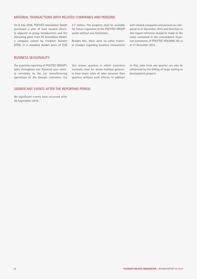## MATERIAL TRANSACTIONS WITH RELATED COMPANIES AND PERSONS

On 8 July 2016, POLYTEC Immobilien GmbH purchased a plot of land located directly adjacent to group headquarters and the Hörsching plant from FH Immobilien GmbH, a company owned by Friedrich Huemer (CEO), at a standard market price of EUR

2.7 million. The property shall be available for future expansion of the POLYTEC GROUP works without any limitations.

Besides this, there were no other material changes regarding business transactions with related companies and persons as compared to 31 December 2015 and therefore in this regard reference should be made to the notes contained in the consolidated financial statements of POLYTEC HOLDING AG as at 31 December 2015.

## BUSINESS SEASONALITY

The quarterly reporting of POLYTEC GROUP's sales throughout one financial year strictly correlates to the car manufacturing operations of the Group's customers. For

this reason, quarters in which customers normally close for works holidays generally have lower rates of sales turnover than quarters without such effects. In addition

to this, sales from one quarter can also be influenced by the billing of large tooling or development projects.

## SIGNIFICANT EVENTS AFTER THE REPORTING PERIOD

No significant events have occurred after 30 September 2016.